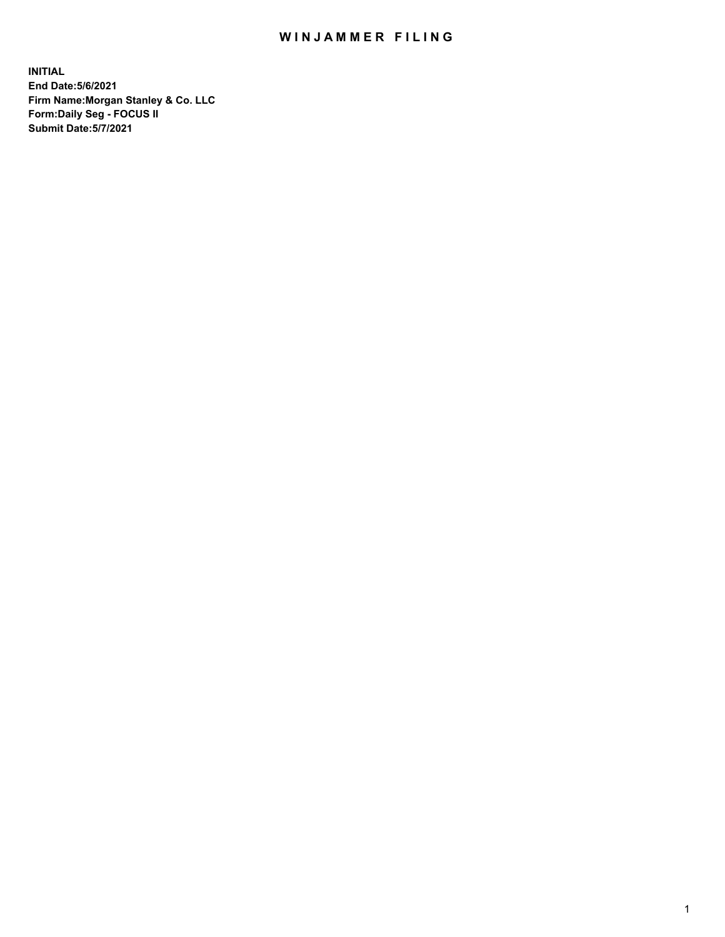## WIN JAMMER FILING

**INITIAL End Date:5/6/2021 Firm Name:Morgan Stanley & Co. LLC Form:Daily Seg - FOCUS II Submit Date:5/7/2021**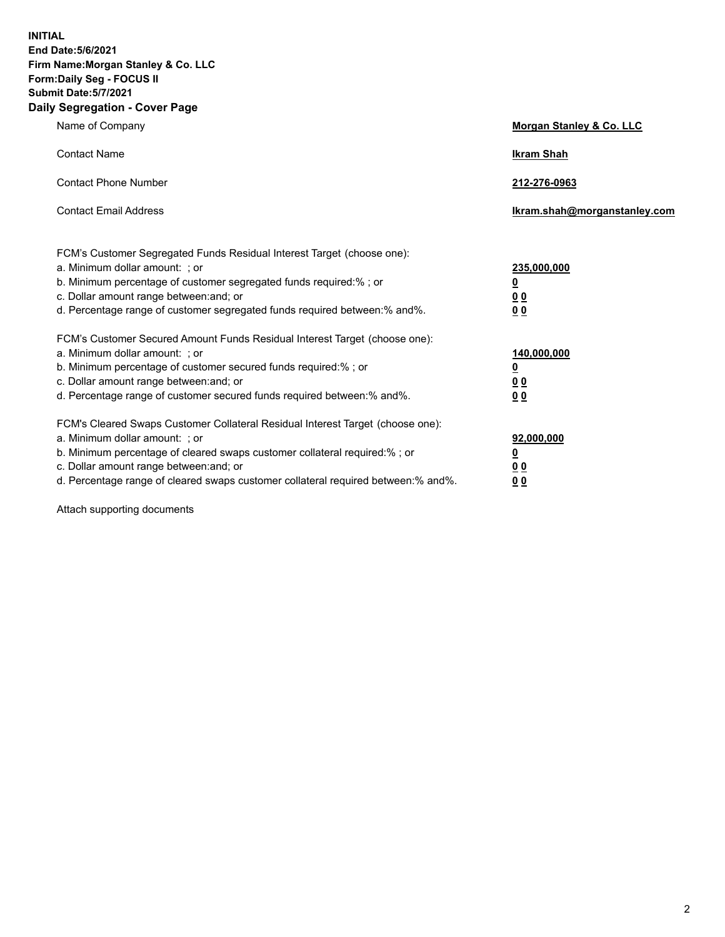**INITIAL End Date:5/6/2021 Firm Name:Morgan Stanley & Co. LLC Form:Daily Seg - FOCUS II Submit Date:5/7/2021 Daily Segregation - Cover Page**

| Name of Company                                                                                                                                                                                                                                                                                                                | <b>Morgan Stanley &amp; Co. LLC</b>             |
|--------------------------------------------------------------------------------------------------------------------------------------------------------------------------------------------------------------------------------------------------------------------------------------------------------------------------------|-------------------------------------------------|
| <b>Contact Name</b>                                                                                                                                                                                                                                                                                                            | <b>Ikram Shah</b>                               |
| <b>Contact Phone Number</b>                                                                                                                                                                                                                                                                                                    | 212-276-0963                                    |
| <b>Contact Email Address</b>                                                                                                                                                                                                                                                                                                   | Ikram.shah@morganstanley.com                    |
| FCM's Customer Segregated Funds Residual Interest Target (choose one):<br>a. Minimum dollar amount: ; or<br>b. Minimum percentage of customer segregated funds required:% ; or<br>c. Dollar amount range between: and; or<br>d. Percentage range of customer segregated funds required between: % and %.                       | 235,000,000<br><u>0</u><br>00<br>0 <sub>0</sub> |
| FCM's Customer Secured Amount Funds Residual Interest Target (choose one):<br>a. Minimum dollar amount: ; or                                                                                                                                                                                                                   | 140,000,000                                     |
| b. Minimum percentage of customer secured funds required:% ; or<br>c. Dollar amount range between: and; or<br>d. Percentage range of customer secured funds required between:% and%.                                                                                                                                           | <u>0</u><br>0 <sub>0</sub><br>0 <sub>0</sub>    |
| FCM's Cleared Swaps Customer Collateral Residual Interest Target (choose one):<br>a. Minimum dollar amount: ; or<br>b. Minimum percentage of cleared swaps customer collateral required:% ; or<br>c. Dollar amount range between: and; or<br>d. Percentage range of cleared swaps customer collateral required between:% and%. | 92,000,000<br><u>0</u><br>0 Q<br>0 <sub>0</sub> |

Attach supporting documents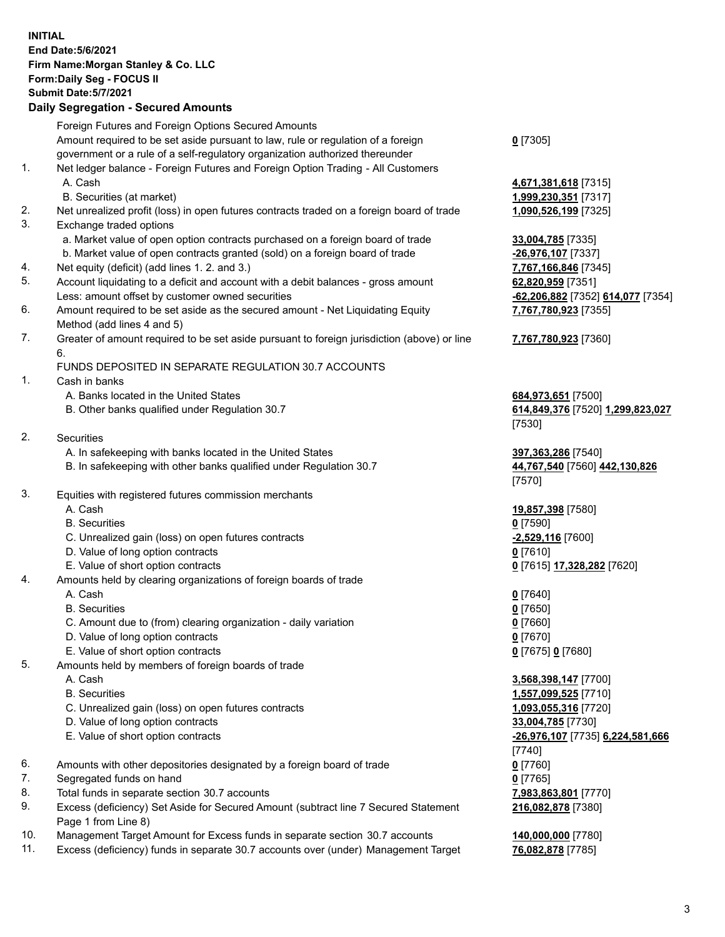## **INITIAL End Date:5/6/2021 Firm Name:Morgan Stanley & Co. LLC Form:Daily Seg - FOCUS II Submit Date:5/7/2021 Daily Segregation - Secured Amounts** Foreign Futures and Foreign Options Secured Amounts Amount required to be set aside pursuant to law, rule or regulation of a foreign government or a rule of a self-regulatory organization authorized thereunder **0** [7305] 1. Net ledger balance - Foreign Futures and Foreign Option Trading - All Customers A. Cash **4,671,381,618** [7315] B. Securities (at market) **1,999,230,351** [7317] 2. Net unrealized profit (loss) in open futures contracts traded on a foreign board of trade **1,090,526,199** [7325] 3. Exchange traded options a. Market value of open option contracts purchased on a foreign board of trade **33,004,785** [7335] b. Market value of open contracts granted (sold) on a foreign board of trade **-26,976,107** [7337] 4. Net equity (deficit) (add lines 1. 2. and 3.) **7,767,166,846** [7345] 5. Account liquidating to a deficit and account with a debit balances - gross amount **62,820,959** [7351] Less: amount offset by customer owned securities **-62,206,882** [7352] **614,077** [7354] 6. Amount required to be set aside as the secured amount - Net Liquidating Equity Method (add lines 4 and 5) **7,767,780,923** [7355] 7. Greater of amount required to be set aside pursuant to foreign jurisdiction (above) or line 6. **7,767,780,923** [7360] FUNDS DEPOSITED IN SEPARATE REGULATION 30.7 ACCOUNTS 1. Cash in banks A. Banks located in the United States **684,973,651** [7500] B. Other banks qualified under Regulation 30.7 **614,849,376** [7520] **1,299,823,027** [7530] 2. Securities A. In safekeeping with banks located in the United States **397,363,286** [7540] B. In safekeeping with other banks qualified under Regulation 30.7 **44,767,540** [7560] **442,130,826** [7570] 3. Equities with registered futures commission merchants A. Cash **19,857,398** [7580] B. Securities **0** [7590] C. Unrealized gain (loss) on open futures contracts **-2,529,116** [7600] D. Value of long option contracts **0** [7610] E. Value of short option contracts **0** [7615] **17,328,282** [7620] 4. Amounts held by clearing organizations of foreign boards of trade A. Cash **0** [7640] B. Securities **0** [7650] C. Amount due to (from) clearing organization - daily variation **0** [7660] D. Value of long option contracts **0** [7670] E. Value of short option contracts **0** [7675] **0** [7680] 5. Amounts held by members of foreign boards of trade A. Cash **3,568,398,147** [7700] B. Securities **1,557,099,525** [7710] C. Unrealized gain (loss) on open futures contracts **1,093,055,316** [7720] D. Value of long option contracts **33,004,785** [7730] E. Value of short option contracts **-26,976,107** [7735] **6,224,581,666** [7740] 6. Amounts with other depositories designated by a foreign board of trade **0** [7760] 7. Segregated funds on hand **0** [7765] 8. Total funds in separate section 30.7 accounts **7,983,863,801** [7770] 9. Excess (deficiency) Set Aside for Secured Amount (subtract line 7 Secured Statement Page 1 from Line 8) **216,082,878** [7380]

- 10. Management Target Amount for Excess funds in separate section 30.7 accounts **140,000,000** [7780]
- 11. Excess (deficiency) funds in separate 30.7 accounts over (under) Management Target **76,082,878** [7785]

3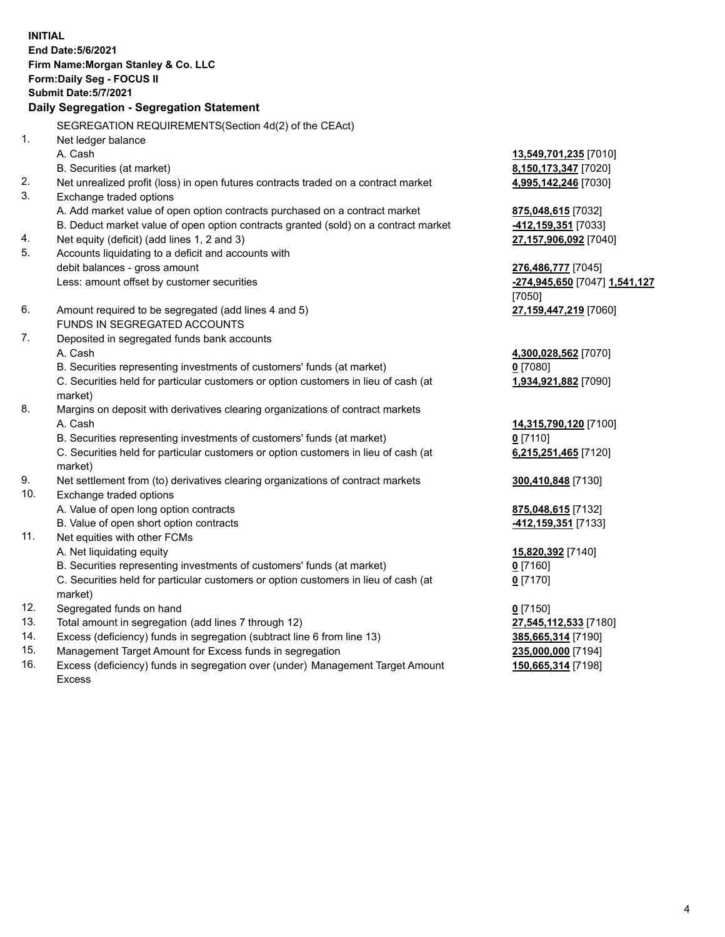|     | <b>INITIAL</b><br>End Date: 5/6/2021<br>Firm Name: Morgan Stanley & Co. LLC<br>Form: Daily Seg - FOCUS II<br><b>Submit Date: 5/7/2021</b><br>Daily Segregation - Segregation Statement |                                 |
|-----|----------------------------------------------------------------------------------------------------------------------------------------------------------------------------------------|---------------------------------|
|     | SEGREGATION REQUIREMENTS(Section 4d(2) of the CEAct)                                                                                                                                   |                                 |
| 1.  | Net ledger balance                                                                                                                                                                     |                                 |
|     | A. Cash                                                                                                                                                                                | 13,549,701,235 [7010]           |
|     | B. Securities (at market)                                                                                                                                                              | 8,150,173,347 [7020]            |
| 2.  | Net unrealized profit (loss) in open futures contracts traded on a contract market                                                                                                     | 4,995,142,246 [7030]            |
| 3.  | Exchange traded options                                                                                                                                                                |                                 |
|     | A. Add market value of open option contracts purchased on a contract market                                                                                                            | 875,048,615 [7032]              |
|     | B. Deduct market value of open option contracts granted (sold) on a contract market                                                                                                    | 412,159,351 [7033]              |
| 4.  | Net equity (deficit) (add lines 1, 2 and 3)                                                                                                                                            | 27,157,906,092 [7040]           |
| 5.  | Accounts liquidating to a deficit and accounts with                                                                                                                                    |                                 |
|     | debit balances - gross amount                                                                                                                                                          | 276,486,777 [7045]              |
|     | Less: amount offset by customer securities                                                                                                                                             | -274,945,650 [7047] 1,541,127   |
| 6.  | Amount required to be segregated (add lines 4 and 5)                                                                                                                                   | [7050]<br>27,159,447,219 [7060] |
|     | <b>FUNDS IN SEGREGATED ACCOUNTS</b>                                                                                                                                                    |                                 |
| 7.  | Deposited in segregated funds bank accounts                                                                                                                                            |                                 |
|     | A. Cash                                                                                                                                                                                | 4,300,028,562 [7070]            |
|     | B. Securities representing investments of customers' funds (at market)                                                                                                                 | $0$ [7080]                      |
|     | C. Securities held for particular customers or option customers in lieu of cash (at                                                                                                    | 1,934,921,882 [7090]            |
|     | market)                                                                                                                                                                                |                                 |
| 8.  | Margins on deposit with derivatives clearing organizations of contract markets                                                                                                         |                                 |
|     | A. Cash                                                                                                                                                                                | 14,315,790,120 [7100]           |
|     | B. Securities representing investments of customers' funds (at market)                                                                                                                 | $0$ [7110]                      |
|     | C. Securities held for particular customers or option customers in lieu of cash (at                                                                                                    | 6,215,251,465 [7120]            |
|     | market)                                                                                                                                                                                |                                 |
| 9.  | Net settlement from (to) derivatives clearing organizations of contract markets                                                                                                        | 300,410,848 [7130]              |
| 10. | Exchange traded options                                                                                                                                                                |                                 |
|     | A. Value of open long option contracts                                                                                                                                                 | 875,048,615 [7132]              |
|     | B. Value of open short option contracts                                                                                                                                                | 412,159,351 [7133]              |
| 11. | Net equities with other FCMs                                                                                                                                                           |                                 |
|     | A. Net liquidating equity                                                                                                                                                              | 15,820,392 [7140]               |
|     | B. Securities representing investments of customers' funds (at market)                                                                                                                 | <u>0</u> [7160]                 |
|     | C. Securities held for particular customers or option customers in lieu of cash (at                                                                                                    | $0$ [7170]                      |
|     | market)                                                                                                                                                                                |                                 |
| 12. | Segregated funds on hand                                                                                                                                                               | $0$ [7150]                      |
| 13. | Total amount in segregation (add lines 7 through 12)                                                                                                                                   | 27,545,112,533 [7180]           |
| 14. | Excess (deficiency) funds in segregation (subtract line 6 from line 13)                                                                                                                | 385,665,314 [7190]              |
| 15. | Management Target Amount for Excess funds in segregation                                                                                                                               | 235,000,000 [7194]              |
| 16. | Excess (deficiency) funds in segregation over (under) Management Target Amount                                                                                                         | 150,665,314 [7198]              |

16. Excess (deficiency) funds in segregation over (under) Management Target Amount Excess